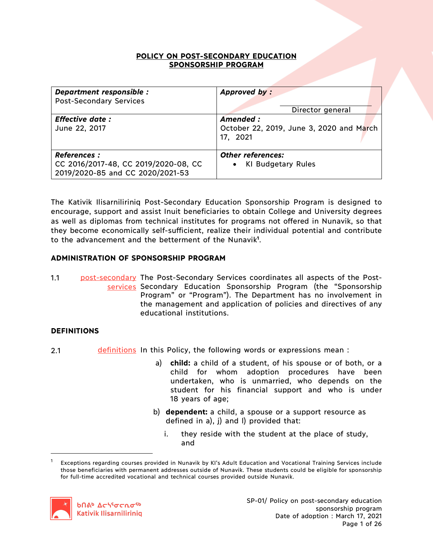## **POLICY ON POST-SECONDARY EDUCATION SPONSORSHIP PROGRAM**

| Department responsible :<br><b>Post-Secondary Services</b>                                      | Approved by:<br>Director general                                  |
|-------------------------------------------------------------------------------------------------|-------------------------------------------------------------------|
| <b>Effective date:</b><br>June 22, 2017                                                         | Amended :<br>October 22, 2019, June 3, 2020 and March<br>17, 2021 |
| <b>References :</b><br>CC 2016/2017-48, CC 2019/2020-08, CC<br>2019/2020-85 and CC 2020/2021-53 | <b>Other references:</b><br>• KI Budgetary Rules                  |

The Kativik Ilisarniliriniq Post-Secondary Education Sponsorship Program is designed to encourage, support and assist Inuit beneficiaries to obtain College and University degrees as well as diplomas from technical institutes for programs not offered in Nunavik, so that they become economically self-sufficient, realize their individual potential and contribute to the advancement and the betterment of the Nunavik**<sup>1</sup>** .

# **ADMINISTRATION OF SPONSORSHIP PROGRAM**

1.1 **post-secondary** The Post-Secondary Services coordinates all aspects of the Postservices Secondary Education Sponsorship Program (the "Sponsorship Program" or "Program"). The Department has no involvement in the management and application of policies and directives of any educational institutions.

# **DEFINITIONS**

 $\overline{a}$ 

- 2.1 **definitions** In this Policy, the following words or expressions mean :
	- a) **child:** a child of a student, of his spouse or of both, or a child for whom adoption procedures have been undertaken, who is unmarried, who depends on the student for his financial support and who is under 18 years of age;
	- b) **dependent:** a child, a spouse or a support resource as defined in a), j) and l) provided that:
		- i. they reside with the student at the place of study, and

<sup>1</sup> Exceptions regarding courses provided in Nunavik by KI's Adult Education and Vocational Training Services include those beneficiaries with permanent addresses outside of Nunavik. These students could be eligible for sponsorship for full-time accredited vocational and technical courses provided outside Nunavik.



SP-01/ Policy on post-secondary education sponsorship program Date of adoption : March 17, 2021 Page 1 of 26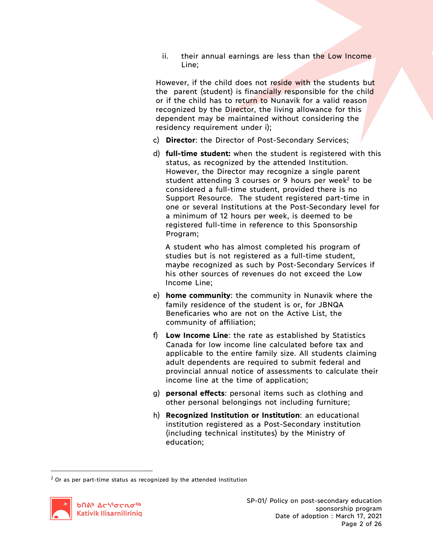ii. their annual earnings are less than the Low Income Line;

However, if the child does not reside with the students but the parent (student) is financially responsible for the child or if the child has to return to Nunavik for a valid reason recognized by the Director, the living allowance for this dependent may be maintained without considering the residency requirement under i);

- c) **Director**: the Director of Post-Secondary Services;
- d) **full-time student:** when the student is registered with this status, as recognized by the attended Institution. However, the Director may recognize a single parent student attending 3 courses or 9 hours per week<sup>2</sup> to be considered a full-time student, provided there is no Support Resource. The student registered part-time in one or several Institutions at the Post-Secondary level for a minimum of 12 hours per week, is deemed to be registered full-time in reference to this Sponsorship Program;

A student who has almost completed his program of studies but is not registered as a full-time student, maybe recognized as such by Post-Secondary Services if his other sources of revenues do not exceed the Low Income Line;

- e) **home community**: the community in Nunavik where the family residence of the student is or, for JBNQA Beneficaries who are not on the Active List, the community of affiliation;
- f) **Low Income Line**: the rate as established by Statistics Canada for low income line calculated before tax and applicable to the entire family size. All students claiming adult dependents are required to submit federal and provincial annual notice of assessments to calculate their income line at the time of application;
- g) **personal effects**: personal items such as clothing and other personal belongings not including furniture;
- h) **Recognized Institution or Institution**: an educational institution registered as a Post-Secondary institution (including technical institutes) by the Ministry of education;

 $2$  Or as per part-time status as recognized by the attended Institution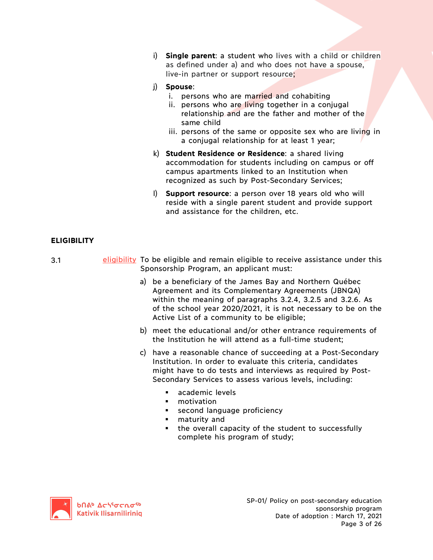- i) **Single parent**: a student who lives with a child or children as defined under a) and who does not have a spouse, live-in partner or support resource;
- j) **Spouse**:
	- i. persons who are married and cohabiting
	- ii. persons who are living together in a conjugal relationship and are the father and mother of the same child
	- iii. persons of the same or opposite sex who are living in a conjugal relationship for at least 1 year;
- k) **Student Residence or Residence**: a shared living accommodation for students including on campus or off campus apartments linked to an Institution when recognized as such by Post-Secondary Services;
- l) **Support resource**: a person over 18 years old who will reside with a single parent student and provide support and assistance for the children, etc.

# **ELIGIBILITY**

- 3.1 **eligibility** To be eligible and remain eligible to receive assistance under this Sponsorship Program, an applicant must:
	- a) be a beneficiary of the James Bay and Northern Québec Agreement and its Complementary Agreements (JBNQA) within the meaning of paragraphs 3.2.4, 3.2.5 and 3.2.6. As of the school year 2020/2021, it is not necessary to be on the Active List of a community to be eligible;
	- b) meet the educational and/or other entrance requirements of the Institution he will attend as a full-time student;
	- c) have a reasonable chance of succeeding at a Post-Secondary Institution. In order to evaluate this criteria, candidates might have to do tests and interviews as required by Post-Secondary Services to assess various levels, including:
		- § academic levels
		- motivation
		- second language proficiency
		- § maturity and
		- the overall capacity of the student to successfully complete his program of study;

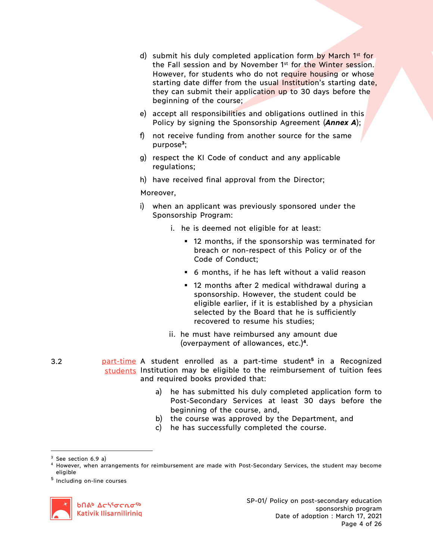- d) submit his duly completed application form by March 1<sup>st</sup> for the Fall session and by November 1<sup>st</sup> for the Winter session. However, for students who do not require housing or whose starting date differ from the usual Institution's starting date, they can submit their application up to 30 days before the beginning of the course;
- e) accept all responsibilities and obligations outlined in this Policy by signing the Sponsorship Agreement (*Annex A*);
- f) not receive funding from another source for the same purpose**<sup>3</sup>**;
- g) respect the KI Code of conduct and any applicable regulations;
- h) have received final approval from the Director;

## Moreover,

- i) when an applicant was previously sponsored under the Sponsorship Program:
	- i. he is deemed not eligible for at least:
		- § 12 months, if the sponsorship was terminated for breach or non-respect of this Policy or of the Code of Conduct;
		- § 6 months, if he has left without a valid reason
		- § 12 months after 2 medical withdrawal during a sponsorship. However, the student could be eligible earlier, if it is established by a physician selected by the Board that he is sufficiently recovered to resume his studies;
	- ii. he must have reimbursed any amount due (overpayment of allowances, etc.)**<sup>4</sup>**.
- 3.2 part-time A student enrolled as a part-time student**<sup>5</sup>** in a Recognized students Institution may be eligible to the reimbursement of tuition fees and required books provided that:
	- a) he has submitted his duly completed application form to Post-Secondary Services at least 30 days before the beginning of the course, and,
	- b) the course was approved by the Department, and
	- c) he has successfully completed the course.

<sup>5</sup> Including on-line courses



<sup>&</sup>lt;sup>3</sup> See section 6.9 a)

<sup>4</sup> However, when arrangements for reimbursement are made with Post-Secondary Services, the student may become eligible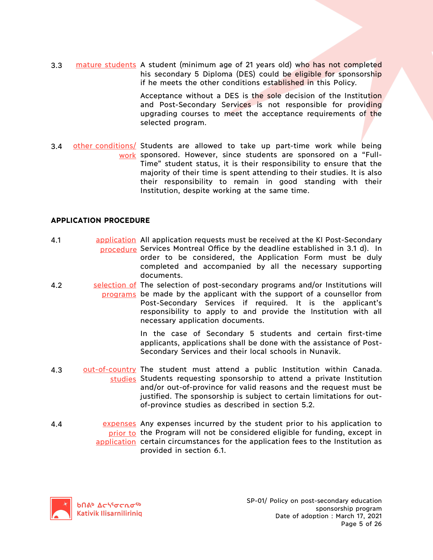3.3 mature students A student (minimum age of 21 years old) who has not completed his secondary 5 Diploma (DES) could be eligible for sponsorship if he meets the other conditions established in this Policy.

> Acceptance without a DES is the sole decision of the Institution and Post-Secondary Services is not responsible for providing upgrading courses to meet the acceptance requirements of the selected program.

3.4 other conditions/ Students are allowed to take up part-time work while being work sponsored. However, since students are sponsored on a "Full-Time" student status, it is their responsibility to ensure that the majority of their time is spent attending to their studies. It is also their responsibility to remain in good standing with their Institution, despite working at the same time.

## **APPLICATION PROCEDURE**

- 4.1 **application** All application requests must be received at the KI Post-Secondary procedure Services Montreal Office by the deadline established in 3.1 d). In order to be considered, the Application Form must be duly completed and accompanied by all the necessary supporting documents.
- 4.2 Selection of The selection of post-secondary programs and/or Institutions will programs be made by the applicant with the support of a counsellor from Post-Secondary Services if required. It is the applicant's responsibility to apply to and provide the Institution with all necessary application documents.

In the case of Secondary 5 students and certain first-time applicants, applications shall be done with the assistance of Post-Secondary Services and their local schools in Nunavik.

- 4.3 out-of-country The student must attend a public Institution within Canada. studies Students requesting sponsorship to attend a private Institution and/or out-of-province for valid reasons and the request must be justified. The sponsorship is subject to certain limitations for outof-province studies as described in section 5.2.
- 4.4 **Expenses** Any expenses incurred by the student prior to his application to prior to the Program will not be considered eligible for funding, except in application certain circumstances for the application fees to the Institution as provided in section 6.1.

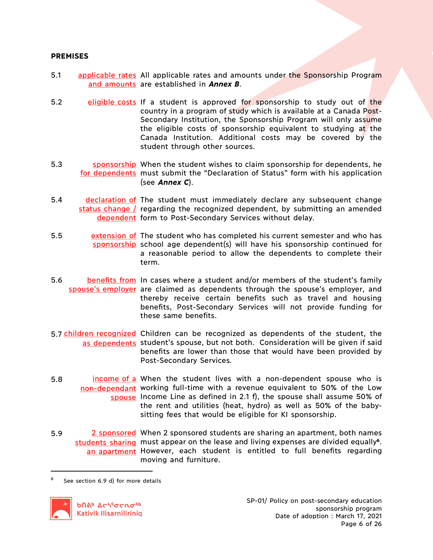## **PREMISES**

- 5.1 applicable rates All applicable rates and amounts under the Sponsorship Program and amounts are established in **Annex B**.
- 5.2 eligible costs If a student is approved for sponsorship to study out of the country in a program of study which is available at a Canada Post-Secondary Institution, the Sponsorship Program will only assume the eligible costs of sponsorship equivalent to studying at the Canada Institution. Additional costs may be covered by the student through other sources.
- 5.3 sponsorship When the student wishes to claim sponsorship for dependents, he for dependents must submit the "Declaration of Status" form with his application (see *Annex C*).
- 5.4 declaration of The student must immediately declare any subsequent change status change / regarding the recognized dependent, by submitting an amended dependent form to Post-Secondary Services without delay.
- 5.5 extension of The student who has completed his current semester and who has sponsorship school age dependent(s) will have his sponsorship continued for a reasonable period to allow the dependents to complete their term.
- 5.6 benefits from In cases where a student and/or members of the student's family spouse's employer are claimed as dependents through the spouse's employer, and thereby receive certain benefits such as travel and housing benefits, Post-Secondary Services will not provide funding for these same benefits.
- 5.7 children recognized Children can be recognized as dependents of the student, the as dependents student's spouse, but not both. Consideration will be given if said benefits are lower than those that would have been provided by Post-Secondary Services.
- 5.8 **income of a** When the student lives with a non-dependent spouse who is non-dependant working full-time with a revenue equivalent to 50% of the Low spouse Income Line as defined in 2.1 f), the spouse shall assume 50% of the rent and utilities (heat, hydro) as well as 50% of the babysitting fees that would be eligible for KI sponsorship.
- 5.9 2 sponsored When 2 sponsored students are sharing an apartment, both names students sharing must appear on the lease and living expenses are divided equally<sup>6</sup>. an apartment However, each student is entitled to full benefits regarding moving and furniture.

 $6$  See section 6.9 d) for more details

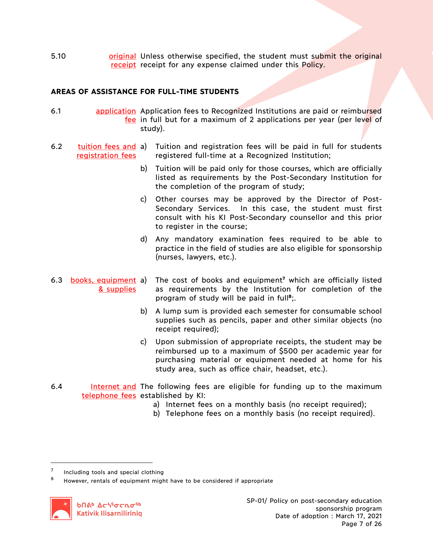5.10 **builing or original Unless otherwise specified, the student must submit the original** receipt receipt for any expense claimed under this Policy.

# **AREAS OF ASSISTANCE FOR FULL-TIME STUDENTS**

- 6.1 **application** Application fees to Recognized Institutions are paid or reimbursed fee in full but for a maximum of 2 applications per year (per level of study).
- 6.2 tuition fees and a) Tuition and registration fees will be paid in full for students registration fees registered full-time at a Recognized Institution;
	- b) Tuition will be paid only for those courses, which are officially listed as requirements by the Post-Secondary Institution for the completion of the program of study;
	- c) Other courses may be approved by the Director of Post-Secondary Services. In this case, the student must first consult with his KI Post-Secondary counsellor and this prior to register in the course;
	- d) Any mandatory examination fees required to be able to practice in the field of studies are also eligible for sponsorship (nurses, lawyers, etc.).
- 6.3 books, equipment a) & supplies
	- The cost of books and equipment<sup>7</sup> which are officially listed as requirements by the Institution for completion of the program of study will be paid in full**<sup>8</sup>**;.
	- b) A lump sum is provided each semester for consumable school supplies such as pencils, paper and other similar objects (no receipt required);
	- c) Upon submission of appropriate receipts, the student may be reimbursed up to a maximum of \$500 per academic year for purchasing material or equipment needed at home for his study area, such as office chair, headset, etc.).
- 6.4 Internet and The following fees are eligible for funding up to the maximum telephone fees established by KI:
	- a) Internet fees on a monthly basis (no receipt required);
	- b) Telephone fees on a monthly basis (no receipt required).

Including tools and special clothing

<sup>8</sup> However, rentals of equipment might have to be considered if appropriate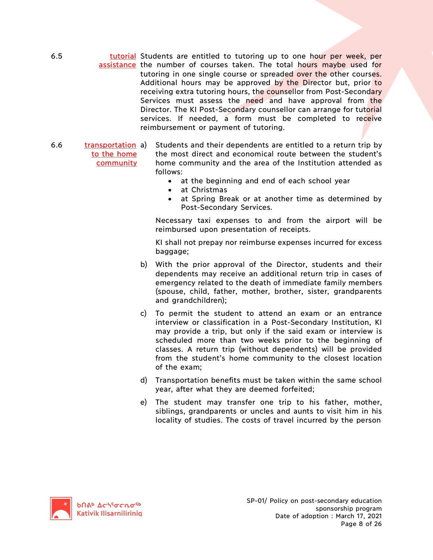6.5 **tutorial Students are entitled to tutoring up to one hour per week, per** assistance the number of courses taken. The total hours maybe used for tutoring in one single course or spreaded over the other courses. Additional hours may be approved by the Director but, prior to receiving extra tutoring hours, the counsellor from Post-Secondary Services must assess the need and have approval from the Director. The KI Post-Secondary counsellor can arrange for tutorial services. If needed, a form must be completed to receive reimbursement or payment of tutoring.

- 6.6 transportation to the home community Students and their dependents are entitled to a return trip by the most direct and economical route between the student's home community and the area of the Institution attended as follows:
	- at the beginning and end of each school year
	- at Christmas
	- at Spring Break or at another time as determined by Post-Secondary Services.

Necessary taxi expenses to and from the airport will be reimbursed upon presentation of receipts.

KI shall not prepay nor reimburse expenses incurred for excess baggage;

- b) With the prior approval of the Director, students and their dependents may receive an additional return trip in cases of emergency related to the death of immediate family members (spouse, child, father, mother, brother, sister, grandparents and grandchildren);
- c) To permit the student to attend an exam or an entrance interview or classification in a Post-Secondary Institution, KI may provide a trip, but only if the said exam or interview is scheduled more than two weeks prior to the beginning of classes. A return trip (without dependents) will be provided from the student's home community to the closest location of the exam;
- d) Transportation benefits must be taken within the same school year, after what they are deemed forfeited;
- e) The student may transfer one trip to his father, mother, siblings, grandparents or uncles and aunts to visit him in his locality of studies. The costs of travel incurred by the person

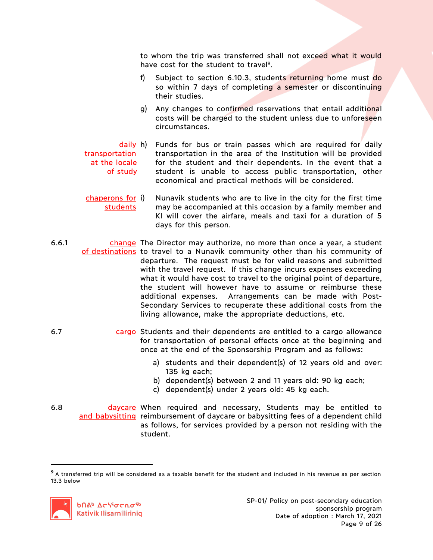to whom the trip was transferred shall not exceed what it would have cost for the student to travel<sup>9</sup>.

- f) Subject to section 6.10.3, students returning home must do so within 7 days of completing a semester or discontinuing their studies.
- g) Any changes to confirmed reservations that entail additional costs will be charged to the student unless due to unforeseen circumstances.
- daily h) transportation at the locale of study Funds for bus or train passes which are required for daily transportation in the area of the Institution will be provided for the student and their dependents. In the event that a student is unable to access public transportation, other economical and practical methods will be considered.
- chaperons for students Nunavik students who are to live in the city for the first time may be accompanied at this occasion by a family member and KI will cover the airfare, meals and taxi for a duration of 5 days for this person.
- 6.6.1 change The Director may authorize, no more than once a year, a student of destinations to travel to a Nunavik community other than his community of departure. The request must be for valid reasons and submitted with the travel request. If this change incurs expenses exceeding what it would have cost to travel to the original point of departure, the student will however have to assume or reimburse these additional expenses. Arrangements can be made with Post-Secondary Services to recuperate these additional costs from the living allowance, make the appropriate deductions, etc.
- 6.7 cargo Students and their dependents are entitled to a cargo allowance for transportation of personal effects once at the beginning and once at the end of the Sponsorship Program and as follows:
	- a) students and their dependent(s) of 12 years old and over: 135 kg each;
	- b) dependent(s) between 2 and 11 years old: 90 kg each;
	- c) dependent(s) under 2 years old: 45 kg each.
- 6.8 **daycare When required and necessary, Students may be entitled to** and babysitting reimbursement of daycare or babysitting fees of a dependent child as follows, for services provided by a person not residing with the student.

**<sup>9</sup>** A transferred trip will be considered as a taxable benefit for the student and included in his revenue as per section 13.3 below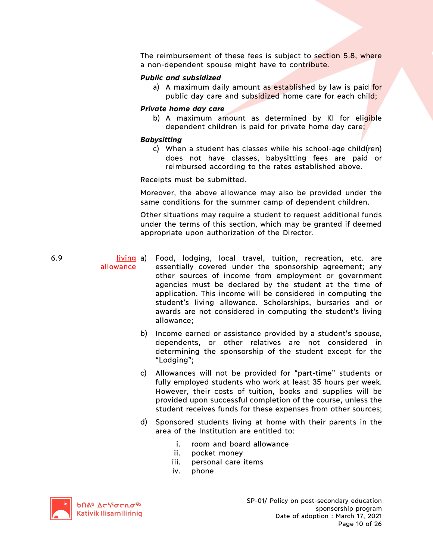The reimbursement of these fees is subject to section 5.8, where a non-dependent spouse might have to contribute.

## *Public and subsidized*

a) A maximum daily amount as established by law is paid for public day care and subsidized home care for each child;

## *Private home day care*

b) A maximum amount as determined by KI for eligible dependent children is paid for private home day care;

## *Babysitting*

c) When a student has classes while his school-age child(ren) does not have classes, babysitting fees are paid or reimbursed according to the rates established above.

Receipts must be submitted.

Moreover, the above allowance may also be provided under the same conditions for the summer camp of dependent children.

Other situations may require a student to request additional funds under the terms of this section, which may be granted if deemed appropriate upon authorization of the Director.

- 6.9 living a) allowance Food, lodging, local travel, tuition, recreation, etc. are essentially covered under the sponsorship agreement; any other sources of income from employment or government agencies must be declared by the student at the time of application. This income will be considered in computing the student's living allowance. Scholarships, bursaries and or awards are not considered in computing the student's living allowance;
	- b) Income earned or assistance provided by a student's spouse, dependents, or other relatives are not considered in determining the sponsorship of the student except for the "Lodging";
	- c) Allowances will not be provided for "part-time" students or fully employed students who work at least 35 hours per week. However, their costs of tuition, books and supplies will be provided upon successful completion of the course, unless the student receives funds for these expenses from other sources;
	- d) Sponsored students living at home with their parents in the area of the Institution are entitled to:
		- i. room and board allowance
		- ii. pocket money
		- iii. personal care items
		- iv. phone

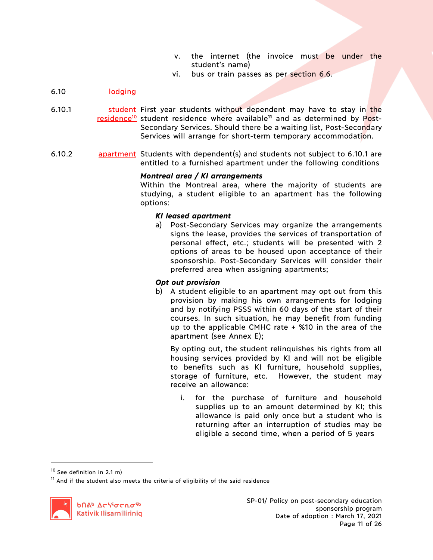- v. the internet (the invoice must be under the student's name)
- vi. bus or train passes as per section 6.6.

# 6.10 lodging

- 6.10.1 **Student First year students without dependent may have to stay in the** residence10 student residence where available**<sup>11</sup>** and as determined by Post-Secondary Services. Should there be a waiting list, Post-Secondary Services will arrange for short-term temporary accommodation.
- 6.10.2 **apartment** Students with dependent(s) and students not subject to 6.10.1 are entitled to a furnished apartment under the following conditions

## *Montreal area / KI arrangements*

Within the Montreal area, where the majority of students are studying, a student eligible to an apartment has the following options:

## *KI leased apartment*

a) Post-Secondary Services may organize the arrangements signs the lease, provides the services of transportation of personal effect, etc.; students will be presented with 2 options of areas to be housed upon acceptance of their sponsorship. Post-Secondary Services will consider their preferred area when assigning apartments;

## *Opt out provision*

b) A student eligible to an apartment may opt out from this provision by making his own arrangements for lodging and by notifying PSSS within 60 days of the start of their courses. In such situation, he may benefit from funding up to the applicable CMHC rate  $+$  %10 in the area of the apartment (see Annex E);

By opting out, the student relinquishes his rights from all housing services provided by KI and will not be eligible to benefits such as KI furniture, household supplies, storage of furniture, etc. However, the student may receive an allowance:

i. for the purchase of furniture and household supplies up to an amount determined by KI; this allowance is paid only once but a student who is returning after an interruption of studies may be eligible a second time, when a period of 5 years

 $10$  See definition in 2.1 m)

 $11$  And if the student also meets the criteria of eligibility of the said residence

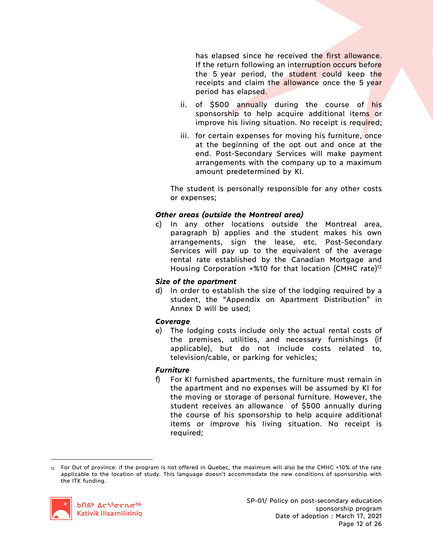has elapsed since he received the first allowance. If the return following an interruption occurs before the 5 year period, the student could keep the receipts and claim the allowance once the 5 year period has elapsed.

- ii. of \$500 annually during the course of his sponsorship to help acquire additional items or improve his living situation. No receipt is required;
- iii. for certain expenses for moving his furniture, once at the beginning of the opt out and once at the end. Post-Secondary Services will make payment arrangements with the company up to a maximum amount predetermined by KI.

The student is personally responsible for any other costs or expenses;

# *Other areas (outside the Montreal area)*

c) In any other locations outside the Montreal area, paragraph b) applies and the student makes his own arrangements, sign the lease, etc. Post-Secondary Services will pay up to the equivalent of the average rental rate established by the Canadian Mortgage and Housing Corporation  $+$ %10 for that location (CMHC rate)<sup>12</sup>

## *Size of the apartment*

d) In order to establish the size of the lodging required by a student, the "Appendix on Apartment Distribution" in Annex D will be used;

## *Coverage*

e) The lodging costs include only the actual rental costs of the premises, utilities, and necessary furnishings (if applicable), but do not include costs related to, television/cable, or parking for vehicles;

# *Furniture*

f) For KI furnished apartments, the furniture must remain in the apartment and no expenses will be assumed by KI for the moving or storage of personal furniture. However, the student receives an allowance of \$500 annually during the course of his sponsorship to help acquire additional items or improve his living situation. No receipt is required;

<sup>12</sup> For Out of province: if the program is not offered in Quebec, the maximum will also be the CMHC +10% of the rate applicable to the location of study. This language doesn't accommodate the new conditions of sponsorship with the ITK funding.



 $\overline{a}$ 

SP-01/ Policy on post-secondary education sponsorship program Date of adoption : March 17, 2021 Page 12 of 26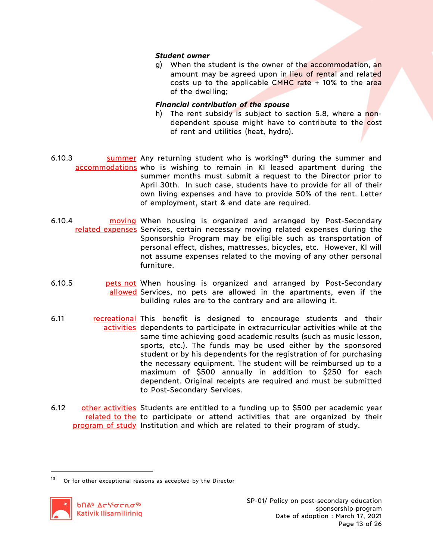## *Student owner*

g) When the student is the owner of the accommodation, an amount may be agreed upon in lieu of rental and related costs up to the applicable CMHC rate  $+$  10% to the area of the dwelling;

## *Financial contribution of the spouse*

- h) The rent subsidy is subject to section 5.8, where a nondependent spouse might have to contribute to the cost of rent and utilities (heat, hydro).
- 6.10.3 summer Any returning student who is working**<sup>13</sup>** during the summer and accommodations who is wishing to remain in KI leased apartment during the summer months must submit a request to the Director prior to April 30th. In such case, students have to provide for all of their own living expenses and have to provide 50% of the rent. Letter of employment, start & end date are required.
- 6.10.4 **moving When housing is organized and arranged by Post-Secondary** related expenses Services, certain necessary moving related expenses during the Sponsorship Program may be eligible such as transportation of personal effect, dishes, mattresses, bicycles, etc. However, KI will not assume expenses related to the moving of any other personal furniture.
- 6.10.5 **pets not When housing is organized and arranged by Post-Secondary** allowed Services, no pets are allowed in the apartments, even if the building rules are to the contrary and are allowing it.
- 6.11 **recreational This benefit is designed to encourage students and their** activities dependents to participate in extracurricular activities while at the same time achieving good academic results (such as music lesson, sports, etc.). The funds may be used either by the sponsored student or by his dependents for the registration of for purchasing the necessary equipment. The student will be reimbursed up to a maximum of \$500 annually in addition to \$250 for each dependent. Original receipts are required and must be submitted to Post-Secondary Services.
- 6.12 other activities Students are entitled to a funding up to \$500 per academic year related to the to participate or attend activities that are organized by their program of study Institution and which are related to their program of study.

<sup>13</sup> Or for other exceptional reasons as accepted by the Director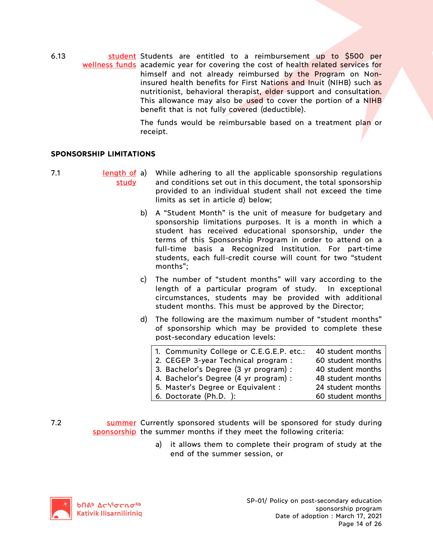6.13 **Student Students are entitled to a reimbursement up to \$500 per** wellness funds academic year for covering the cost of health related services for himself and not already reimbursed by the Program on Noninsured health benefits for First Nations and Inuit (NIHB) such as nutritionist, behavioral therapist, elder support and consultation. This allowance may also be used to cover the portion of a NIHB benefit that is not fully covered (deductible).

> The funds would be reimbursable based on a treatment plan or receipt.

## **SPONSORSHIP LIMITATIONS**

- 
- 7.1 length of a) study a) While adhering to all the applicable sponsorship regulations and conditions set out in this document, the total sponsorship provided to an individual student shall not exceed the time limits as set in article d) below;
	- b) A "Student Month" is the unit of measure for budgetary and sponsorship limitations purposes. It is a month in which a student has received educational sponsorship, under the terms of this Sponsorship Program in order to attend on a full-time basis a Recognized Institution. For part-time students, each full-credit course will count for two "student months";
	- c) The number of "student months" will vary according to the length of a particular program of study. In exceptional circumstances, students may be provided with additional student months. This must be approved by the Director;
	- d) The following are the maximum number of "student months" of sponsorship which may be provided to complete these post-secondary education levels:

| 1. Community College or C.E.G.E.P. etc.: | 40 student months |
|------------------------------------------|-------------------|
| 2. CEGEP 3-year Technical program :      | 60 student months |
| 3. Bachelor's Degree (3 yr program) :    | 40 student months |
| 4. Bachelor's Degree (4 yr program) :    | 48 student months |
| 5. Master's Degree or Equivalent :       | 24 student months |
| 6. Doctorate (Ph.D. ):                   | 60 student months |
|                                          |                   |

- 7.2 **Summer** Currently sponsored students will be sponsored for study during sponsorship the summer months if they meet the following criteria:
	- a) it allows them to complete their program of study at the end of the summer session, or

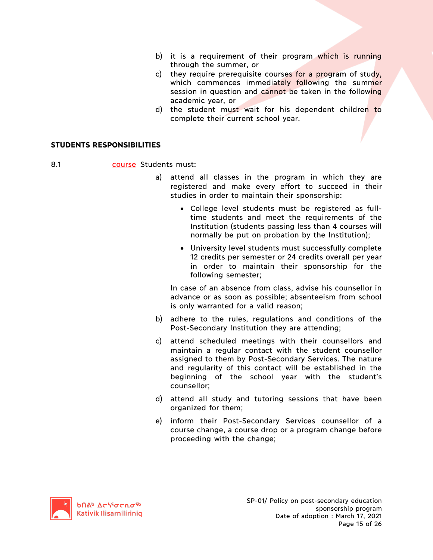- b) it is a requirement of their program which is running through the summer, or
- c) they require prerequisite courses for a program of study, which commences immediately following the summer session in question and cannot be taken in the following academic year, or
- d) the student must wait for his dependent children to complete their current school year.

## **STUDENTS RESPONSIBILITIES**

8.1 **course** Students must:

- a) attend all classes in the program in which they are registered and make every effort to succeed in their studies in order to maintain their sponsorship:
	- College level students must be registered as fulltime students and meet the requirements of the Institution (students passing less than 4 courses will normally be put on probation by the Institution);
	- University level students must successfully complete 12 credits per semester or 24 credits overall per year in order to maintain their sponsorship for the following semester;

In case of an absence from class, advise his counsellor in advance or as soon as possible; absenteeism from school is only warranted for a valid reason;

- b) adhere to the rules, regulations and conditions of the Post-Secondary Institution they are attending;
- c) attend scheduled meetings with their counsellors and maintain a regular contact with the student counsellor assigned to them by Post-Secondary Services. The nature and regularity of this contact will be established in the beginning of the school year with the student's counsellor;
- d) attend all study and tutoring sessions that have been organized for them;
- e) inform their Post-Secondary Services counsellor of a course change, a course drop or a program change before proceeding with the change;

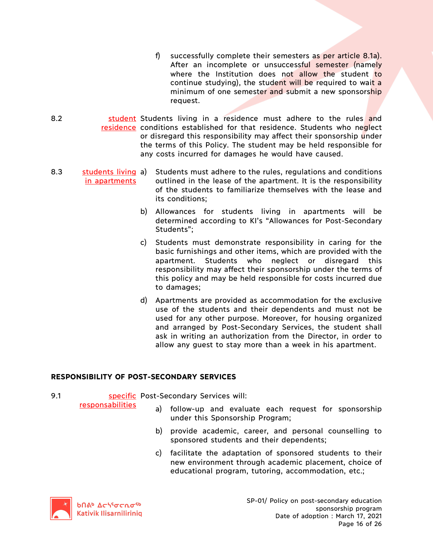- f) successfully complete their semesters as per article 8.1a). After an incomplete or unsuccessful semester (namely where the Institution does not allow the student to continue studying), the student will be required to wait a minimum of one semester and submit a new sponsorship request.
- 8.2 **Student Students living in a residence must adhere to the rules and** residence conditions established for that residence. Students who neglect or disregard this responsibility may affect their sponsorship under the terms of this Policy. The student may be held responsible for any costs incurred for damages he would have caused.
- 8.3 students living in apartments a) Students must adhere to the rules, regulations and conditions outlined in the lease of the apartment. It is the responsibility of the students to familiarize themselves with the lease and its conditions;
	- b) Allowances for students living in apartments will be determined according to KI's "Allowances for Post-Secondary Students";
	- c) Students must demonstrate responsibility in caring for the basic furnishings and other items, which are provided with the apartment. Students who neglect or disregard this responsibility may affect their sponsorship under the terms of this policy and may be held responsible for costs incurred due to damages;
	- d) Apartments are provided as accommodation for the exclusive use of the students and their dependents and must not be used for any other purpose. Moreover, for housing organized and arranged by Post-Secondary Services, the student shall ask in writing an authorization from the Director, in order to allow any guest to stay more than a week in his apartment.

# **RESPONSIBILITY OF POST-SECONDARY SERVICES**

9.1 **Specific** Post-Secondary Services will: responsabilities

- a) follow-up and evaluate each request for sponsorship under this Sponsorship Program;
- b) provide academic, career, and personal counselling to sponsored students and their dependents;
- c) facilitate the adaptation of sponsored students to their new environment through academic placement, choice of educational program, tutoring, accommodation, etc.;

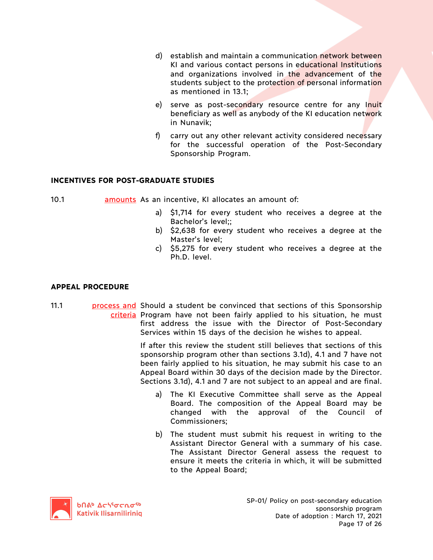- d) establish and maintain a communication network between KI and various contact persons in educational Institutions and organizations involved in the advancement of the students subject to the protection of personal information as mentioned in 13.1;
- e) serve as post-secondary resource centre for any Inuit beneficiary as well as anybody of the KI education network in Nunavik;
- f) carry out any other relevant activity considered necessary for the successful operation of the Post-Secondary Sponsorship Program.

# **INCENTIVES FOR POST-GRADUATE STUDIES**

10.1 amounts As an incentive, KI allocates an amount of:

- a) \$1,714 for every student who receives a degree at the Bachelor's level;;
- b) \$2,638 for every student who receives a degree at the Master's level;
- c) \$5,275 for every student who receives a degree at the Ph.D. level.

# **APPEAL PROCEDURE**

11.1 **process and Should a student be convinced that sections of this Sponsorship** criteria Program have not been fairly applied to his situation, he must first address the issue with the Director of Post-Secondary Services within 15 days of the decision he wishes to appeal.

> If after this review the student still believes that sections of this sponsorship program other than sections 3.1d), 4.1 and 7 have not been fairly applied to his situation, he may submit his case to an Appeal Board within 30 days of the decision made by the Director. Sections 3.1d), 4.1 and 7 are not subject to an appeal and are final.

- a) The KI Executive Committee shall serve as the Appeal Board. The composition of the Appeal Board may be changed with the approval of the Council of Commissioners;
- b) The student must submit his request in writing to the Assistant Director General with a summary of his case. The Assistant Director General assess the request to ensure it meets the criteria in which, it will be submitted to the Appeal Board;

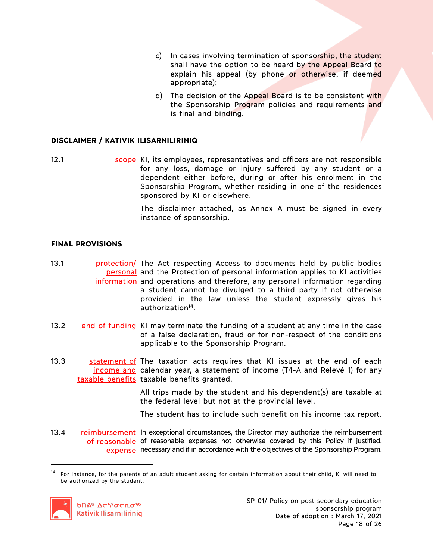- c) In cases involving termination of sponsorship, the student shall have the option to be heard by the Appeal Board to explain his appeal (by phone or otherwise, if deemed appropriate);
- d) The decision of the Appeal Board is to be consistent with the Sponsorship Program policies and requirements and is final and binding.

# **DISCLAIMER / KATIVIK ILISARNILIRINIQ**

12.1 scope KI, its employees, representatives and officers are not responsible for any loss, damage or injury suffered by any student or a dependent either before, during or after his enrolment in the Sponsorship Program, whether residing in one of the residences sponsored by KI or elsewhere.

> The disclaimer attached, as Annex A must be signed in every instance of sponsorship.

## **FINAL PROVISIONS**

- 13.1 **protection**/ The Act respecting Access to documents held by public bodies personal and the Protection of personal information applies to KI activities information and operations and therefore, any personal information regarding a student cannot be divulged to a third party if not otherwise provided in the law unless the student expressly gives his authorization**<sup>14</sup>**.
- 13.2 end of funding KI may terminate the funding of a student at any time in the case of a false declaration, fraud or for non-respect of the conditions applicable to the Sponsorship Program.
- 13.3 statement of The taxation acts requires that KI issues at the end of each income and calendar year, a statement of income (T4-A and Relevé 1) for any taxable benefits taxable benefits granted.

All trips made by the student and his dependent(s) are taxable at the federal level but not at the provincial level.

- The student has to include such benefit on his income tax report.
- 13.4 reimbursement In exceptional circumstances, the Director may authorize the reimbursement of reasonable of reasonable expenses not otherwise covered by this Policy if justified, expense necessary and if in accordance with the objectives of the Sponsorship Program.

 $14$  For instance, for the parents of an adult student asking for certain information about their child, KI will need to be authorized by the student.

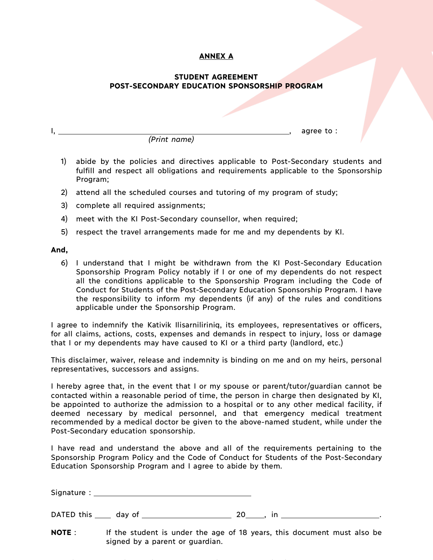# **ANNEX A**

## **STUDENT AGREEMENT POST-SECONDARY EDUCATION SPONSORSHIP PROGRAM**

I, , agree to : *(Print name)*

- 1) abide by the policies and directives applicable to Post-Secondary students and fulfill and respect all obligations and requirements applicable to the Sponsorship Program;
- 2) attend all the scheduled courses and tutoring of my program of study;
- 3) complete all required assignments;
- 4) meet with the KI Post-Secondary counsellor, when required;
- 5) respect the travel arrangements made for me and my dependents by KI.

## **And,**

6) I understand that I might be withdrawn from the KI Post-Secondary Education Sponsorship Program Policy notably if I or one of my dependents do not respect all the conditions applicable to the Sponsorship Program including the Code of Conduct for Students of the Post-Secondary Education Sponsorship Program. I have the responsibility to inform my dependents (if any) of the rules and conditions applicable under the Sponsorship Program.

I agree to indemnify the Kativik Ilisarniliriniq, its employees, representatives or officers, for all claims, actions, costs, expenses and demands in respect to injury, loss or damage that I or my dependents may have caused to KI or a third party (landlord, etc.)

This disclaimer, waiver, release and indemnity is binding on me and on my heirs, personal representatives, successors and assigns.

I hereby agree that, in the event that I or my spouse or parent/tutor/guardian cannot be contacted within a reasonable period of time, the person in charge then designated by KI, be appointed to authorize the admission to a hospital or to any other medical facility, if deemed necessary by medical personnel, and that emergency medical treatment recommended by a medical doctor be given to the above-named student, while under the Post-Secondary education sponsorship.

I have read and understand the above and all of the requirements pertaining to the Sponsorship Program Policy and the Code of Conduct for Students of the Post-Secondary Education Sponsorship Program and I agree to abide by them.

Signature : \_\_

DATED this day of 20 , in

**NOTE** : If the student is under the age of 18 years, this document must also be signed by a parent or guardian.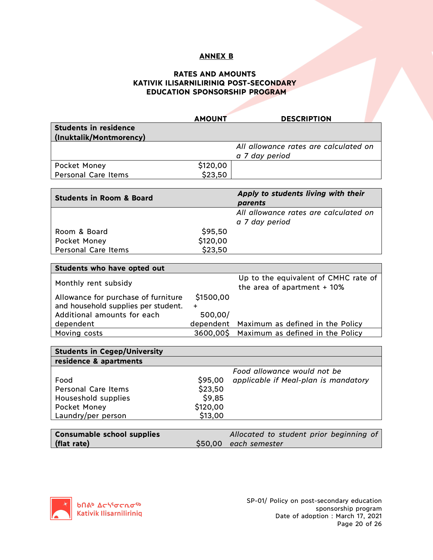## **ANNEX B**

# **RATES AND AMOUNTS KATIVIK ILISARNILIRINIQ POST-SECONDARY EDUCATION SPONSORSHIP PROGRAM**

|                                     | <b>AMOUNT</b> | <b>DESCRIPTION</b>                    |
|-------------------------------------|---------------|---------------------------------------|
| <b>Students in residence</b>        |               |                                       |
| (Inuktalik/Montmorency)             |               |                                       |
|                                     |               | All allowance rates are calculated on |
|                                     |               | a 7 day period                        |
| Pocket Money                        | \$120,00      |                                       |
| <b>Personal Care Items</b>          | \$23,50       |                                       |
|                                     |               |                                       |
| <b>Students in Room &amp; Board</b> |               | Apply to students living with their   |
|                                     |               | parents                               |

|                     |          | <b>PULCILS</b>                        |
|---------------------|----------|---------------------------------------|
|                     |          | All allowance rates are calculated on |
|                     |          | a 7 day period                        |
| Room & Board        | \$95,50  |                                       |
| Pocket Money        | \$120,00 |                                       |
| Personal Care Items | \$23,50  |                                       |

| Students who have opted out         |           |                                                                       |  |  |  |  |
|-------------------------------------|-----------|-----------------------------------------------------------------------|--|--|--|--|
| Monthly rent subsidy                |           | Up to the equivalent of CMHC rate of<br>the area of apartment $+10\%$ |  |  |  |  |
| Allowance for purchase of furniture | \$1500,00 |                                                                       |  |  |  |  |
| and household supplies per student. | ÷         |                                                                       |  |  |  |  |
| Additional amounts for each         | 500,00/   |                                                                       |  |  |  |  |
| dependent                           |           | dependent Maximum as defined in the Policy                            |  |  |  |  |
| Moving costs                        |           | 3600,00\$ Maximum as defined in the Policy                            |  |  |  |  |

|          | Food allowance would not be          |
|----------|--------------------------------------|
| \$95,00  | applicable if Meal-plan is mandatory |
| \$23,50  |                                      |
| \$9,85   |                                      |
| \$120,00 |                                      |
| \$13,00  |                                      |
|          |                                      |

| <b>Consumable school supplies</b> | Allocated to student prior beginning of |
|-----------------------------------|-----------------------------------------|
| (flat rate)                       | \$50,00 each semester                   |

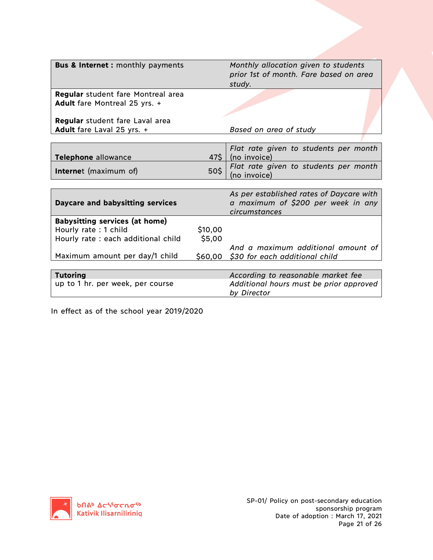| <b>Bus &amp; Internet : monthly payments</b> | Monthly allocation given to students |                                                        |  |
|----------------------------------------------|--------------------------------------|--------------------------------------------------------|--|
|                                              |                                      | prior 1st of month. Fare based on area                 |  |
|                                              |                                      | study.                                                 |  |
| <b>Regular</b> student fare Montreal area    |                                      |                                                        |  |
| Adult fare Montreal 25 yrs. +                |                                      |                                                        |  |
|                                              |                                      |                                                        |  |
| Regular student fare Laval area              |                                      |                                                        |  |
|                                              |                                      |                                                        |  |
| Adult fare Laval 25 yrs. +                   |                                      | Based on area of study                                 |  |
|                                              |                                      |                                                        |  |
|                                              |                                      | Flat rate given to students per month                  |  |
| Telephone allowance                          | 47\$                                 | (no invoice)                                           |  |
|                                              |                                      | Flat rate given to students per month                  |  |
| <b>Internet</b> (maximum of)                 | 50\$                                 | (no invoice)                                           |  |
|                                              |                                      |                                                        |  |
|                                              |                                      | As per established rates of Daycare with               |  |
| <b>Daycare and babysitting services</b>      |                                      | a maximum of \$200 per week in any                     |  |
|                                              |                                      | circumstances                                          |  |
| <b>Babysitting services (at home)</b>        |                                      |                                                        |  |
| Hourly rate: 1 child                         | \$10,00                              |                                                        |  |
|                                              |                                      |                                                        |  |
| Hourly rate: each additional child           | \$5,00                               |                                                        |  |
|                                              |                                      | And a maximum additional amount of                     |  |
| Maximum amount per day/1 child               |                                      | \$60,00 \$30 for each additional child                 |  |
|                                              |                                      |                                                        |  |
| <b>Tutoring</b>                              |                                      | According to reasonable market fee                     |  |
| up to 1 hr. per week, per course             |                                      |                                                        |  |
|                                              |                                      |                                                        |  |
|                                              |                                      | Additional hours must be prior approved<br>by Director |  |

In effect as of the school year 2019/2020

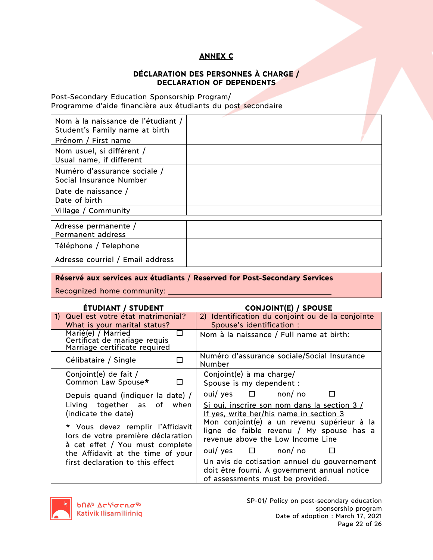# **ANNEX C**

# **DÉCLARATION DES PERSONNES À CHARGE / DECLARATION OF DEPENDENTS**

Post-Secondary Education Sponsorship Program/ Programme d'aide financière aux étudiants du post secondaire

| Nom à la naissance de l'étudiant /<br>Student's Family name at birth |  |
|----------------------------------------------------------------------|--|
| Prénom / First name                                                  |  |
| Nom usuel, si différent /<br>Usual name, if different                |  |
| Numéro d'assurance sociale /<br>Social Insurance Number              |  |
| Date de naissance /<br>Date of birth                                 |  |
| Village / Community                                                  |  |
|                                                                      |  |
| Adresse permanente /<br>Permanent address                            |  |
| Téléphone / Telephone                                                |  |
| Adresse courriel / Email address                                     |  |

**Réservé aux services aux étudiants** / **Reserved for Post-Secondary Services**

Recognized home community:

## **ÉTUDIANT / STUDENT CONJOINT(E) / SPOUSE**

|                                                                                                           |                                                                                     | 7139 - 1139 (11) 71 - 12 - 13                                                                                                    |
|-----------------------------------------------------------------------------------------------------------|-------------------------------------------------------------------------------------|----------------------------------------------------------------------------------------------------------------------------------|
| <sup>1</sup>                                                                                              | Quel est votre état matrimonial?                                                    | 2) Identification du conjoint ou de la conjointe                                                                                 |
|                                                                                                           | What is your marital status?                                                        | Spouse's identification :                                                                                                        |
|                                                                                                           | Marié(e) / Married<br>Certificat de mariage requis<br>Marriage certificate required | Nom à la naissance / Full name at birth:                                                                                         |
|                                                                                                           | Célibataire / Single                                                                | Numéro d'assurance sociale/Social Insurance<br>Number                                                                            |
|                                                                                                           | Conjoint(e) de fait /<br>Common Law Spouse*                                         | Conjoint(e) à ma charge/<br>Spouse is my dependent :                                                                             |
|                                                                                                           | Depuis quand (indiquer la date) /                                                   | $\overline{\text{out}}$ yes $\Box$ non/no                                                                                        |
|                                                                                                           | Living together as of when<br>(indicate the date)                                   | Si oui, inscrire son nom dans la section 3 /<br>If yes, write her/his name in section 3                                          |
| * Vous devez remplir l'Affidavit<br>lors de votre première déclaration<br>à cet effet / You must complete |                                                                                     | Mon conjoint(e) a un revenu supérieur à la<br>ligne de faible revenu / My spouse has a<br>revenue above the Low Income Line      |
|                                                                                                           | the Affidavit at the time of your                                                   | $\overline{\text{out}}$ yes $\Box$ non/no                                                                                        |
| first declaration to this effect                                                                          |                                                                                     | Un avis de cotisation annuel du gouvernement<br>doit être fourni. A government annual notice<br>of assessments must be provided. |

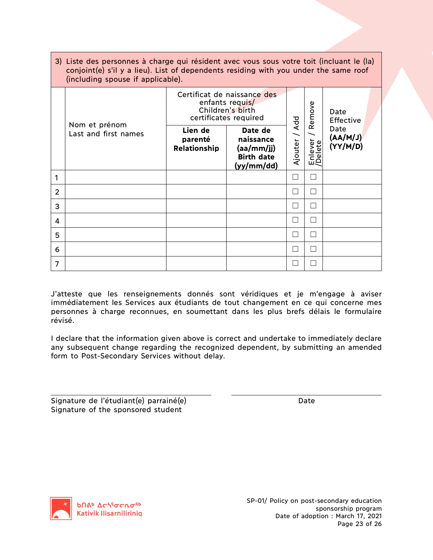|                | 3) Liste des personnes à charge qui résident avec vous sous votre toit (incluant le (la)<br>conjoint(e) s'il y a lieu). List of dependents residing with you under the same roof<br>(including spouse if applicable). |                                                                                             |                                                                       |         |                     |                             |  |
|----------------|-----------------------------------------------------------------------------------------------------------------------------------------------------------------------------------------------------------------------|---------------------------------------------------------------------------------------------|-----------------------------------------------------------------------|---------|---------------------|-----------------------------|--|
|                | Nom et prénom<br>Last and first names                                                                                                                                                                                 | Certificat de naissance des<br>enfants requis/<br>Children's birth<br>certificates required |                                                                       | Add     | Remove              | Date<br><b>Effective</b>    |  |
|                |                                                                                                                                                                                                                       | Lien de<br>parenté<br>Relationship                                                          | Date de<br>naissance<br>(aa/mm/jj)<br><b>Birth date</b><br>(yy/mm/dd) | Ajouter | ever<br>lete<br>ய்ச | Date<br>(AA/MJ)<br>(YY/M/D) |  |
| 1              |                                                                                                                                                                                                                       |                                                                                             |                                                                       |         |                     |                             |  |
| $\overline{2}$ |                                                                                                                                                                                                                       |                                                                                             |                                                                       |         |                     |                             |  |
| 3              |                                                                                                                                                                                                                       |                                                                                             |                                                                       |         | $\mathcal{L}$       |                             |  |
| 4              |                                                                                                                                                                                                                       |                                                                                             |                                                                       |         |                     |                             |  |
| 5              |                                                                                                                                                                                                                       |                                                                                             |                                                                       |         |                     |                             |  |
| 6              |                                                                                                                                                                                                                       |                                                                                             |                                                                       |         |                     |                             |  |
| 7              |                                                                                                                                                                                                                       |                                                                                             |                                                                       |         |                     |                             |  |

J'atteste que les renseignements donnés sont véridiques et je m'engage à aviser immédiatement les Services aux étudiants de tout changement en ce qui concerne mes personnes à charge reconnues, en soumettant dans les plus brefs délais le formulaire révisé.

I declare that the information given above is correct and undertake to immediately declare any subsequent change regarding the recognized dependent, by submitting an amended form to Post-Secondary Services without delay.

Signature de l'étudiant(e) parrainé(e) de l'originalisation de Date Signature of the sponsored student

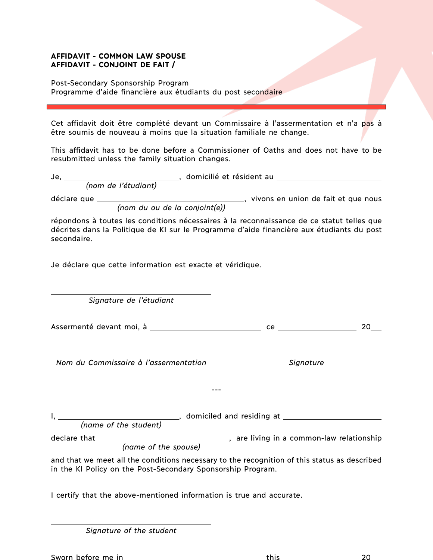## **AFFIDAVIT - COMMON LAW SPOUSE AFFIDAVIT - CONJOINT DE FAIT /**

Post-Secondary Sponsorship Program Programme d'aide financière aux étudiants du post secondaire

Cet affidavit doit être complété devant un Commissaire à l'assermentation et n'a pas à être soumis de nouveau à moins que la situation familiale ne change.

This affidavit has to be done before a Commissioner of Oaths and does not have to be resubmitted unless the family situation changes.

| Je          |                               | domicilié et résident au |                                     |
|-------------|-------------------------------|--------------------------|-------------------------------------|
|             | (nom de l'étudiant)           |                          |                                     |
| déclare que |                               |                          | vivons en union de fait et que nous |
|             | (nom du ou de la conjoint(e)) |                          |                                     |

répondons à toutes les conditions nécessaires à la reconnaissance de ce statut telles que décrites dans la Politique de KI sur le Programme d'aide financière aux étudiants du post secondaire.

Je déclare que cette information est exacte et véridique.

*Signature de l'étudiant*

Assermenté devant moi, à ce 20

*Nom du Commissaire à l'assermentation Signature*

I, domiciled and residing at **A, and L, and A, and A, and A, and A, and A, and A, and A, and A, and A, and A, and A** *(name of the student)*

---

declare that , are living in a common-law relationship *(name of the spouse)*

and that we meet all the conditions necessary to the recognition of this status as described in the KI Policy on the Post-Secondary Sponsorship Program.

I certify that the above-mentioned information is true and accurate.

*Signature of the student*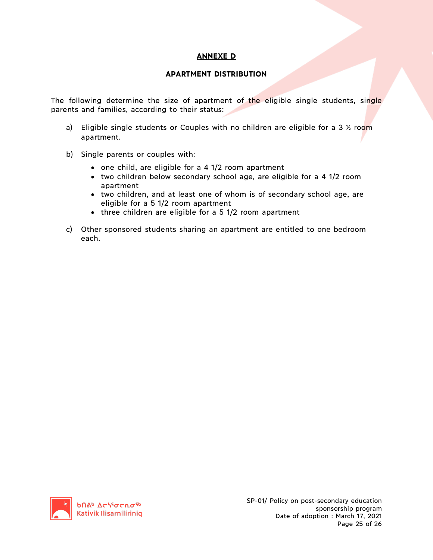# **ANNEXE D**

## **APARTMENT DISTRIBUTION**

The following determine the size of apartment of the eligible single students, single parents and families, according to their status:

- a) Eligible single students or Couples with no children are eligible for a 3  $\frac{1}{2}$  room apartment.
- b) Single parents or couples with:
	- one child, are eligible for a 4 1/2 room apartment
	- two children below secondary school age, are eligible for a 4 1/2 room apartment
	- two children, and at least one of whom is of secondary school age, are eligible for a 5 1/2 room apartment
	- three children are eligible for a 5 1/2 room apartment
- c) Other sponsored students sharing an apartment are entitled to one bedroom each.